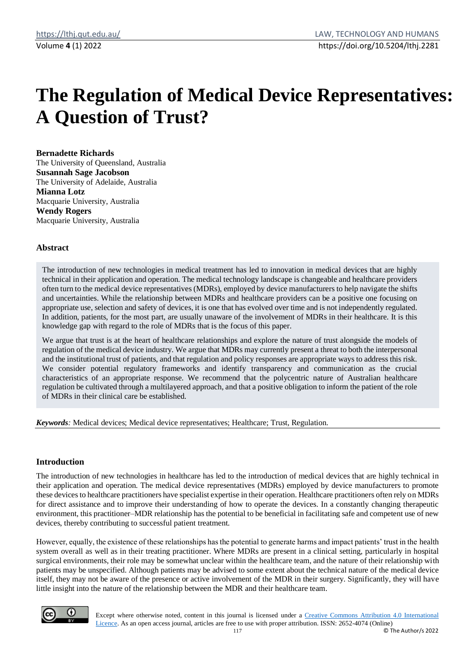# **The Regulation of Medical Device Representatives: A Question of Trust?**

#### **Bernadette Richards**

The University of Queensland, Australia **Susannah Sage Jacobson** The University of Adelaide, Australia **Mianna Lotz** Macquarie University, Australia **Wendy Rogers** Macquarie University, Australia

## **Abstract**

The introduction of new technologies in medical treatment has led to innovation in medical devices that are highly technical in their application and operation. The medical technology landscape is changeable and healthcare providers often turn to the medical device representatives (MDRs), employed by device manufacturers to help navigate the shifts and uncertainties. While the relationship between MDRs and healthcare providers can be a positive one focusing on appropriate use, selection and safety of devices, it is one that has evolved over time and is not independently regulated. In addition, patients, for the most part, are usually unaware of the involvement of MDRs in their healthcare. It is this knowledge gap with regard to the role of MDRs that is the focus of this paper.

We argue that trust is at the heart of healthcare relationships and explore the nature of trust alongside the models of regulation of the medical device industry. We argue that MDRs may currently present a threat to both the interpersonal and the institutional trust of patients, and that regulation and policy responses are appropriate ways to address this risk. We consider potential regulatory frameworks and identify transparency and communication as the crucial characteristics of an appropriate response. We recommend that the polycentric nature of Australian healthcare regulation be cultivated through a multilayered approach, and that a positive obligation to inform the patient of the role of MDRs in their clinical care be established.

*Keywords:* Medical devices; Medical device representatives; Healthcare; Trust, Regulation.

## **Introduction**

The introduction of new technologies in healthcare has led to the introduction of medical devices that are highly technical in their application and operation. The medical device representatives (MDRs) employed by device manufacturers to promote these devices to healthcare practitioners have specialist expertise in their operation. Healthcare practitioners often rely on MDRs for direct assistance and to improve their understanding of how to operate the devices. In a constantly changing therapeutic environment, this practitioner–MDR relationship has the potential to be beneficial in facilitating safe and competent use of new devices, thereby contributing to successful patient treatment.

However, equally, the existence of these relationships has the potential to generate harms and impact patients' trust in the health system overall as well as in their treating practitioner. Where MDRs are present in a clinical setting, particularly in hospital surgical environments, their role may be somewhat unclear within the healthcare team, and the nature of their relationship with patients may be unspecified. Although patients may be advised to some extent about the technical nature of the medical device itself, they may not be aware of the presence or active involvement of the MDR in their surgery. Significantly, they will have little insight into the nature of the relationship between the MDR and their healthcare team.



Except where otherwise noted, content in this journal is licensed under a [Creative Commons Attribution 4.0 International](https://creativecommons.org/licenses/by/4.0/)  [Licence.](https://creativecommons.org/licenses/by/4.0/) As an open access journal, articles are free to use with proper attribution. ISSN: 2652-4074 (Online)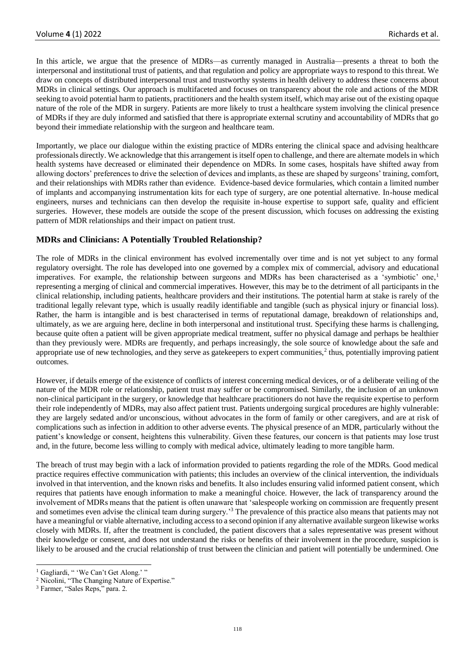In this article, we argue that the presence of MDRs—as currently managed in Australia—presents a threat to both the interpersonal and institutional trust of patients, and that regulation and policy are appropriate ways to respond to this threat. We draw on concepts of distributed interpersonal trust and trustworthy systems in health delivery to address these concerns about MDRs in clinical settings. Our approach is multifaceted and focuses on transparency about the role and actions of the MDR seeking to avoid potential harm to patients, practitioners and the health system itself, which may arise out of the existing opaque nature of the role of the MDR in surgery. Patients are more likely to trust a healthcare system involving the clinical presence of MDRs if they are duly informed and satisfied that there is appropriate external scrutiny and accountability of MDRs that go beyond their immediate relationship with the surgeon and healthcare team.

Importantly, we place our dialogue within the existing practice of MDRs entering the clinical space and advising healthcare professionals directly. We acknowledge that this arrangement is itself open to challenge, and there are alternate models in which health systems have decreased or eliminated their dependence on MDRs. In some cases, hospitals have shifted away from allowing doctors' preferences to drive the selection of devices and implants, as these are shaped by surgeons' training, comfort, and their relationships with MDRs rather than evidence. Evidence-based device formularies, which contain a limited number of implants and accompanying instrumentation kits for each type of surgery, are one potential alternative. In-house medical engineers, nurses and technicians can then develop the requisite in-house expertise to support safe, quality and efficient surgeries. However, these models are outside the scope of the present discussion, which focuses on addressing the existing pattern of MDR relationships and their impact on patient trust.

# **MDRs and Clinicians: A Potentially Troubled Relationship?**

The role of MDRs in the clinical environment has evolved incrementally over time and is not yet subject to any formal regulatory oversight. The role has developed into one governed by a complex mix of commercial, advisory and educational imperatives. For example, the relationship between surgeons and MDRs has been characterised as a 'symbiotic' one,<sup>1</sup> representing a merging of clinical and commercial imperatives. However, this may be to the detriment of all participants in the clinical relationship, including patients, healthcare providers and their institutions. The potential harm at stake is rarely of the traditional legally relevant type, which is usually readily identifiable and tangible (such as physical injury or financial loss). Rather, the harm is intangible and is best characterised in terms of reputational damage, breakdown of relationships and, ultimately, as we are arguing here, decline in both interpersonal and institutional trust. Specifying these harms is challenging, because quite often a patient will be given appropriate medical treatment, suffer no physical damage and perhaps be healthier than they previously were. MDRs are frequently, and perhaps increasingly, the sole source of knowledge about the safe and appropriate use of new technologies, and they serve as gatekeepers to expert communities, $2$  thus, potentially improving patient outcomes.

However, if details emerge of the existence of conflicts of interest concerning medical devices, or of a deliberate veiling of the nature of the MDR role or relationship, patient trust may suffer or be compromised. Similarly, the inclusion of an unknown non-clinical participant in the surgery, or knowledge that healthcare practitioners do not have the requisite expertise to perform their role independently of MDRs, may also affect patient trust. Patients undergoing surgical procedures are highly vulnerable: they are largely sedated and/or unconscious, without advocates in the form of family or other caregivers, and are at risk of complications such as infection in addition to other adverse events. The physical presence of an MDR, particularly without the patient's knowledge or consent, heightens this vulnerability. Given these features, our concern is that patients may lose trust and, in the future, become less willing to comply with medical advice, ultimately leading to more tangible harm.

The breach of trust may begin with a lack of information provided to patients regarding the role of the MDRs. Good medical practice requires effective communication with patients; this includes an overview of the clinical intervention, the individuals involved in that intervention, and the known risks and benefits. It also includes ensuring valid informed patient consent, which requires that patients have enough information to make a meaningful choice. However, the lack of transparency around the involvement of MDRs means that the patient is often unaware that 'salespeople working on commission are frequently present and sometimes even advise the clinical team during surgery.'<sup>3</sup> The prevalence of this practice also means that patients may not have a meaningful or viable alternative, including access to a second opinion if any alternative available surgeon likewise works closely with MDRs. If, after the treatment is concluded, the patient discovers that a sales representative was present without their knowledge or consent, and does not understand the risks or benefits of their involvement in the procedure, suspicion is likely to be aroused and the crucial relationship of trust between the clinician and patient will potentially be undermined. One

<sup>&</sup>lt;sup>1</sup> Gagliardi, " 'We Can't Get Along.' "

<sup>&</sup>lt;sup>2</sup> Nicolini, "The Changing Nature of Expertise."

<sup>3</sup> Farmer, "Sales Reps," para. 2.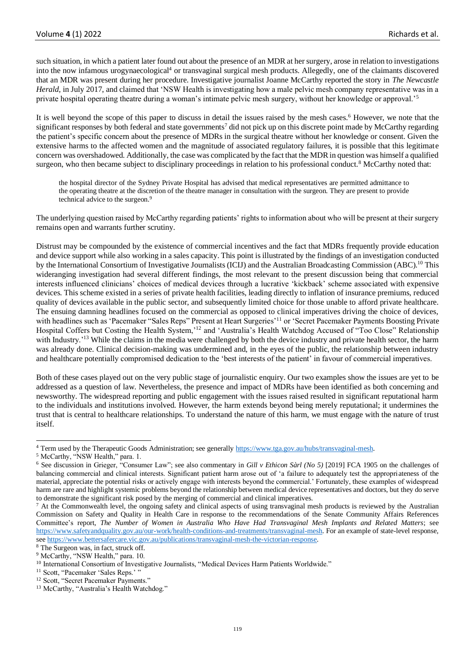such situation, in which a patient later found out about the presence of an MDR at her surgery, arose in relation to investigations into the now infamous urogynaecological<sup>4</sup> or transvaginal surgical mesh products. Allegedly, one of the claimants discovered that an MDR was present during her procedure. Investigative journalist Joanne McCarthy reported the story in *The Newcastle Herald*, in July 2017, and claimed that 'NSW Health is investigating how a male pelvic mesh company representative was in a private hospital operating theatre during a woman's intimate pelvic mesh surgery, without her knowledge or approval.'<sup>5</sup>

It is well beyond the scope of this paper to discuss in detail the issues raised by the mesh cases.<sup>6</sup> However, we note that the significant responses by both federal and state governments<sup>7</sup> did not pick up on this discrete point made by McCarthy regarding the patient's specific concern about the presence of MDRs in the surgical theatre without her knowledge or consent. Given the extensive harms to the affected women and the magnitude of associated regulatory failures, it is possible that this legitimate concern was overshadowed. Additionally, the case was complicated by the fact that the MDR in question was himself a qualified surgeon, who then became subject to disciplinary proceedings in relation to his professional conduct.<sup>8</sup> McCarthy noted that:

the hospital director of the Sydney Private Hospital has advised that medical representatives are permitted admittance to the operating theatre at the discretion of the theatre manager in consultation with the surgeon. They are present to provide technical advice to the surgeon.<sup>9</sup>

The underlying question raised by McCarthy regarding patients' rights to information about who will be present at their surgery remains open and warrants further scrutiny.

Distrust may be compounded by the existence of commercial incentives and the fact that MDRs frequently provide education and device support while also working in a sales capacity. This point is illustrated by the findings of an investigation conducted by the International Consortium of Investigative Journalists (ICIJ) and the Australian Broadcasting Commission (ABC).<sup>10</sup> This wideranging investigation had several different findings, the most relevant to the present discussion being that commercial interests influenced clinicians' choices of medical devices through a lucrative 'kickback' scheme associated with expensive devices. This scheme existed in a series of private health facilities, leading directly to inflation of insurance premiums, reduced quality of devices available in the public sector, and subsequently limited choice for those unable to afford private healthcare. The ensuing damning headlines focused on the commercial as opposed to clinical imperatives driving the choice of devices, with headlines such as 'Pacemaker "Sales Reps" Present at Heart Surgeries'<sup>11</sup> or 'Secret Pacemaker Payments Boosting Private Hospital Coffers but Costing the Health System,'<sup>12</sup> and 'Australia's Health Watchdog Accused of "Too Close" Relationship with Industry.'<sup>13</sup> While the claims in the media were challenged by both the device industry and private health sector, the harm was already done. Clinical decision-making was undermined and, in the eyes of the public, the relationship between industry and healthcare potentially compromised dedication to the 'best interests of the patient' in favour of commercial imperatives.

Both of these cases played out on the very public stage of journalistic enquiry. Our two examples show the issues are yet to be addressed as a question of law. Nevertheless, the presence and impact of MDRs have been identified as both concerning and newsworthy. The widespread reporting and public engagement with the issues raised resulted in significant reputational harm to the individuals and institutions involved. However, the harm extends beyond being merely reputational; it undermines the trust that is central to healthcare relationships. To understand the nature of this harm, we must engage with the nature of trust itself.

<sup>&</sup>lt;sup>4</sup> Term used by the Therapeutic Goods Administration; see generall[y https://www.tga.gov.au/hubs/transvaginal-mesh.](https://www.tga.gov.au/hubs/transvaginal-mesh)

<sup>5</sup> McCarthy, "NSW Health," para. 1.

<sup>6</sup> See discussion in Grieger, "Consumer Law"; see also commentary in *Gill v Ethicon Sàrl (No 5)* [2019] FCA 1905 on the challenges of balancing commercial and clinical interests. Significant patient harm arose out of 'a failure to adequately test the appropriateness of the material, appreciate the potential risks or actively engage with interests beyond the commercial.' Fortunately, these examples of widespread harm are rare and highlight systemic problems beyond the relationship between medical device representatives and doctors, but they do serve to demonstrate the significant risk posed by the merging of commercial and clinical imperatives.

<sup>&</sup>lt;sup>7</sup> At the Commonwealth level, the ongoing safety and clinical aspects of using transvaginal mesh products is reviewed by the Australian Commission on Safety and Quality in Health Care in response to the recommendations of the Senate Community Affairs References Committee's report, *The Number of Women in Australia Who Have Had Transvaginal Mesh Implants and Related Matters*; see [https://www.safetyandquality.gov.au/our-work/health-conditions-and-treatments/transvaginal-mesh.](https://www.safetyandquality.gov.au/our-work/health-conditions-and-treatments/transvaginal-mesh) For an example of state-level response, se[e https://www.bettersafercare.vic.gov.au/publications/transvaginal-mesh-the-victorian-response.](https://www.bettersafercare.vic.gov.au/publications/transvaginal-mesh-the-victorian-response)

<sup>&</sup>lt;sup>8</sup> The Surgeon was, in fact, struck off.

<sup>&</sup>lt;sup>9</sup> McCarthy, "NSW Health," para. 10.

<sup>&</sup>lt;sup>10</sup> International Consortium of Investigative Journalists, "Medical Devices Harm Patients Worldwide."

<sup>&</sup>lt;sup>11</sup> Scott, "Pacemaker 'Sales Reps.'"

<sup>&</sup>lt;sup>12</sup> Scott, "Secret Pacemaker Payments."

<sup>&</sup>lt;sup>13</sup> McCarthy, "Australia's Health Watchdog."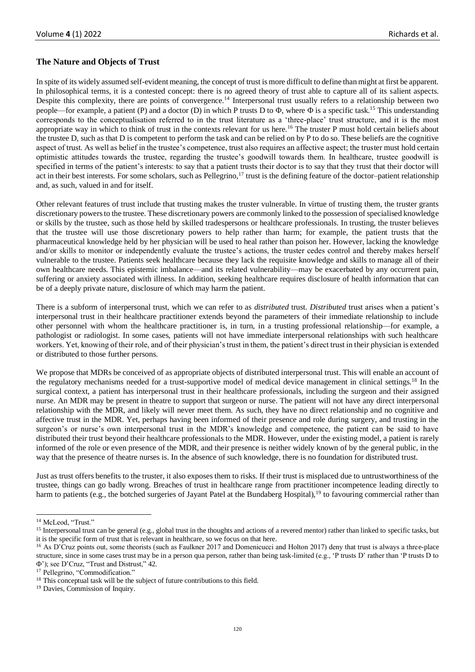## **The Nature and Objects of Trust**

In spite of its widely assumed self-evident meaning, the concept of trust is more difficult to define than might at first be apparent. In philosophical terms, it is a contested concept: there is no agreed theory of trust able to capture all of its salient aspects. Despite this complexity, there are points of convergence.<sup>14</sup> Interpersonal trust usually refers to a relationship between two people—for example, a patient (P) and a doctor (D) in which P trusts D to  $\Phi$ , where  $\Phi$  is a specific task.<sup>15</sup> This understanding corresponds to the conceptualisation referred to in the trust literature as a 'three-place' trust structure, and it is the most appropriate way in which to think of trust in the contexts relevant for us here.<sup>16</sup> The truster P must hold certain beliefs about the trustee D, such as that D is competent to perform the task and can be relied on by P to do so. These beliefs are the cognitive aspect of trust. As well as belief in the trustee's competence, trust also requires an affective aspect; the truster must hold certain optimistic attitudes towards the trustee, regarding the trustee's goodwill towards them. In healthcare, trustee goodwill is specified in terms of the patient's interests: to say that a patient trusts their doctor is to say that they trust that their doctor will act in their best interests. For some scholars, such as Pellegrino, $17$  trust is the defining feature of the doctor-patient relationship and, as such, valued in and for itself.

Other relevant features of trust include that trusting makes the truster vulnerable. In virtue of trusting them, the truster grants discretionary powers to the trustee. These discretionary powers are commonly linked to the possession of specialised knowledge or skills by the trustee, such as those held by skilled tradespersons or healthcare professionals. In trusting, the truster believes that the trustee will use those discretionary powers to help rather than harm; for example, the patient trusts that the pharmaceutical knowledge held by her physician will be used to heal rather than poison her. However, lacking the knowledge and/or skills to monitor or independently evaluate the trustee's actions, the truster cedes control and thereby makes herself vulnerable to the trustee. Patients seek healthcare because they lack the requisite knowledge and skills to manage all of their own healthcare needs. This epistemic imbalance—and its related vulnerability—may be exacerbated by any occurrent pain, suffering or anxiety associated with illness. In addition, seeking healthcare requires disclosure of health information that can be of a deeply private nature, disclosure of which may harm the patient.

There is a subform of interpersonal trust, which we can refer to as *distributed* trust. *Distributed* trust arises when a patient's interpersonal trust in their healthcare practitioner extends beyond the parameters of their immediate relationship to include other personnel with whom the healthcare practitioner is, in turn, in a trusting professional relationship—for example, a pathologist or radiologist. In some cases, patients will not have immediate interpersonal relationships with such healthcare workers. Yet, knowing of their role, and of their physician's trust in them, the patient's direct trust in their physician is extended or distributed to those further persons.

We propose that MDRs be conceived of as appropriate objects of distributed interpersonal trust. This will enable an account of the regulatory mechanisms needed for a trust-supportive model of medical device management in clinical settings.<sup>18</sup> In the surgical context, a patient has interpersonal trust in their healthcare professionals, including the surgeon and their assigned nurse. An MDR may be present in theatre to support that surgeon or nurse. The patient will not have any direct interpersonal relationship with the MDR, and likely will never meet them. As such, they have no direct relationship and no cognitive and affective trust in the MDR. Yet, perhaps having been informed of their presence and role during surgery, and trusting in the surgeon's or nurse's own interpersonal trust in the MDR's knowledge and competence, the patient can be said to have distributed their trust beyond their healthcare professionals to the MDR. However, under the existing model, a patient is rarely informed of the role or even presence of the MDR, and their presence is neither widely known of by the general public, in the way that the presence of theatre nurses is. In the absence of such knowledge, there is no foundation for distributed trust.

Just as trust offers benefits to the truster, it also exposes them to risks. If their trust is misplaced due to untrustworthiness of the trustee, things can go badly wrong. Breaches of trust in healthcare range from practitioner incompetence leading directly to harm to patients (e.g., the botched surgeries of Jayant Patel at the Bundaberg Hospital), <sup>19</sup> to favouring commercial rather than

<sup>&</sup>lt;sup>14</sup> McLeod, "Trust."

<sup>&</sup>lt;sup>15</sup> Interpersonal trust can be general (e.g., global trust in the thoughts and actions of a revered mentor) rather than linked to specific tasks, but it is the specific form of trust that is relevant in healthcare, so we focus on that here.

<sup>&</sup>lt;sup>16</sup> As D'Cruz points out, some theorists (such as Faulkner 2017 and Domenicucci and Holton 2017) deny that trust is always a three-place structure, since in some cases trust may be in a person qua person, rather than being task-limited (e.g., 'P trusts D' rather than 'P trusts D to '); see D'Cruz, "Trust and Distrust," 42.

<sup>&</sup>lt;sup>17</sup> Pellegrino, "Commodification."

<sup>&</sup>lt;sup>18</sup> This conceptual task will be the subject of future contributions to this field.

<sup>&</sup>lt;sup>19</sup> Davies, Commission of Inquiry.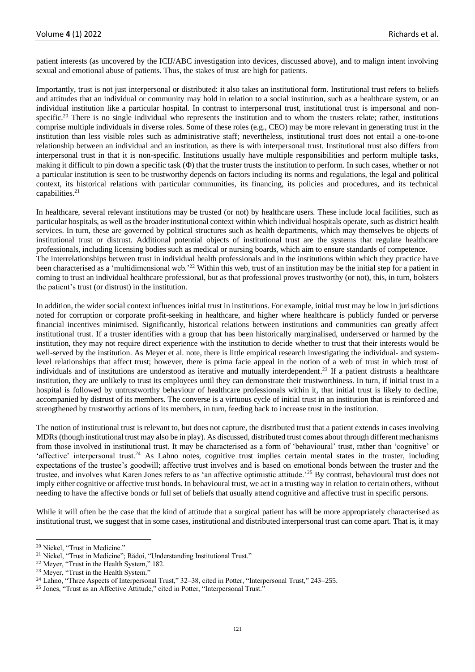patient interests (as uncovered by the ICIJ/ABC investigation into devices, discussed above), and to malign intent involving sexual and emotional abuse of patients. Thus, the stakes of trust are high for patients.

Importantly, trust is not just interpersonal or distributed: it also takes an institutional form. Institutional trust refers to beliefs and attitudes that an individual or community may hold in relation to a social institution, such as a healthcare system, or an individual institution like a particular hospital. In contrast to interpersonal trust, institutional trust is impersonal and nonspecific.<sup>20</sup> There is no single individual who represents the institution and to whom the trusters relate; rather, institutions comprise multiple individuals in diverse roles. Some of these roles (e.g., CEO) may be more relevant in generating trust in the institution than less visible roles such as administrative staff; nevertheless, institutional trust does not entail a one-to-one relationship between an individual and an institution, as there is with interpersonal trust. Institutional trust also differs from interpersonal trust in that it is non-specific. Institutions usually have multiple responsibilities and perform multiple tasks, making it difficult to pin down a specific task  $(\Phi)$  that the truster trusts the institution to perform. In such cases, whether or not a particular institution is seen to be trustworthy depends on factors including its norms and regulations, the legal and political context, its historical relations with particular communities, its financing, its policies and procedures, and its technical capabilities.<sup>21</sup>

In healthcare, several relevant institutions may be trusted (or not) by healthcare users. These include local facilities, such as particular hospitals, as well as the broader institutional context within which individual hospitals operate, such as district health services. In turn, these are governed by political structures such as health departments, which may themselves be objects of institutional trust or distrust. Additional potential objects of institutional trust are the systems that regulate healthcare professionals, including licensing bodies such as medical or nursing boards, which aim to ensure standards of competence. The interrelationships between trust in individual health professionals and in the institutions within which they practice have been characterised as a 'multidimensional web.<sup>22</sup> Within this web, trust of an institution may be the initial step for a patient in coming to trust an individual healthcare professional, but as that professional proves trustworthy (or not), this, in turn, bolsters the patient's trust (or distrust) in the institution.

In addition, the wider social context influences initial trust in institutions. For example, initial trust may be low in jurisdictions noted for corruption or corporate profit-seeking in healthcare, and higher where healthcare is publicly funded or perverse financial incentives minimised. Significantly, historical relations between institutions and communities can greatly affect institutional trust. If a truster identifies with a group that has been historically marginalised, underserved or harmed by the institution, they may not require direct experience with the institution to decide whether to trust that their interests would be well-served by the institution. As Meyer et al. note, there is little empirical research investigating the individual- and systemlevel relationships that affect trust; however, there is prima facie appeal in the notion of a web of trust in which trust of individuals and of institutions are understood as iterative and mutually interdependent. <sup>23</sup> If a patient distrusts a healthcare institution, they are unlikely to trust its employees until they can demonstrate their trustworthiness. In turn, if initial trust in a hospital is followed by untrustworthy behaviour of healthcare professionals within it, that initial trust is likely to decline, accompanied by distrust of its members. The converse is a virtuous cycle of initial trust in an institution that is reinforced and strengthened by trustworthy actions of its members, in turn, feeding back to increase trust in the institution.

The notion of institutional trust is relevant to, but does not capture, the distributed trust that a patient extends in cases involving MDRs (though institutional trust may also be in play). As discussed, distributed trust comes about through different mechanisms from those involved in institutional trust. It may be characterised as a form of 'behavioural' trust, rather than 'cognitive' or 'affective' interpersonal trust.<sup>24</sup> As Lahno notes, cognitive trust implies certain mental states in the truster, including expectations of the trustee's goodwill; affective trust involves and is based on emotional bonds between the truster and the trustee, and involves what Karen Jones refers to as 'an affective optimistic attitude.'<sup>25</sup> By contrast, behavioural trust does not imply either cognitive or affective trust bonds. In behavioural trust, we act in a trusting way in relation to certain others, without needing to have the affective bonds or full set of beliefs that usually attend cognitive and affective trust in specific persons.

While it will often be the case that the kind of attitude that a surgical patient has will be more appropriately characterised as institutional trust, we suggest that in some cases, institutional and distributed interpersonal trust can come apart. That is, it may

<sup>&</sup>lt;sup>20</sup> Nickel, "Trust in Medicine."

<sup>&</sup>lt;sup>21</sup> Nickel, "Trust in Medicine"; Rădoi, "Understanding Institutional Trust."

<sup>&</sup>lt;sup>22</sup> Meyer, "Trust in the Health System," 182.

<sup>&</sup>lt;sup>23</sup> Meyer, "Trust in the Health System."

<sup>&</sup>lt;sup>24</sup> Lahno, "Three Aspects of Interpersonal Trust," 32–38, cited in Potter, "Interpersonal Trust," 243–255.

<sup>&</sup>lt;sup>25</sup> Jones, "Trust as an Affective Attitude," cited in Potter, "Interpersonal Trust."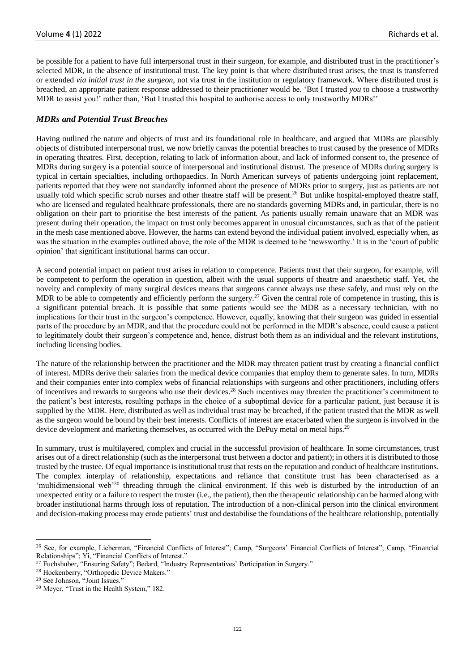be possible for a patient to have full interpersonal trust in their surgeon, for example, and distributed trust in the practitioner's selected MDR, in the absence of institutional trust. The key point is that where distributed trust arises, the trust is transferred or extended *via initial trust in the surgeon*, not via trust in the institution or regulatory framework. Where distributed trust is breached, an appropriate patient response addressed to their practitioner would be, 'But I trusted *you* to choose a trustworthy MDR to assist you!' rather than, 'But I trusted this hospital to authorise access to only trustworthy MDRs!'

### *MDRs and Potential Trust Breaches*

Having outlined the nature and objects of trust and its foundational role in healthcare, and argued that MDRs are plausibly objects of distributed interpersonal trust, we now briefly canvas the potential breaches to trust caused by the presence of MDRs in operating theatres. First, deception, relating to lack of information about, and lack of informed consent to, the presence of MDRs during surgery is a potential source of interpersonal and institutional distrust. The presence of MDRs during surgery is typical in certain specialties, including orthopaedics. In North American surveys of patients undergoing joint replacement, patients reported that they were not standardly informed about the presence of MDRs prior to surgery, just as patients are not usually told which specific scrub nurses and other theatre staff will be present.<sup>26</sup> But unlike hospital-employed theatre staff, who are licensed and regulated healthcare professionals, there are no standards governing MDRs and, in particular, there is no obligation on their part to prioritise the best interests of the patient. As patients usually remain unaware that an MDR was present during their operation, the impact on trust only becomes apparent in unusual circumstances, such as that of the patient in the mesh case mentioned above. However, the harms can extend beyond the individual patient involved, especially when, as was the situation in the examples outlined above, the role of the MDR is deemed to be 'newsworthy.' It is in the 'court of public opinion' that significant institutional harms can occur.

A second potential impact on patient trust arises in relation to competence. Patients trust that their surgeon, for example, will be competent to perform the operation in question, albeit with the usual supports of theatre and anaesthetic staff. Yet, the novelty and complexity of many surgical devices means that surgeons cannot always use these safely, and must rely on the MDR to be able to competently and efficiently perform the surgery.<sup>27</sup> Given the central role of competence in trusting, this is a significant potential breach. It is possible that some patients would see the MDR as a necessary technician, with no implications for their trust in the surgeon's competence. However, equally, knowing that their surgeon was guided in essential parts of the procedure by an MDR, and that the procedure could not be performed in the MDR's absence, could cause a patient to legitimately doubt their surgeon's competence and, hence, distrust both them as an individual and the relevant institutions, including licensing bodies.

The nature of the relationship between the practitioner and the MDR may threaten patient trust by creating a financial conflict of interest. MDRs derive their salaries from the medical device companies that employ them to generate sales. In turn, MDRs and their companies enter into complex webs of financial relationships with surgeons and other practitioners, including offers of incentives and rewards to surgeons who use their devices.<sup>28</sup> Such incentives may threaten the practitioner's commitment to the patient's best interests, resulting perhaps in the choice of a suboptimal device for a particular patient, just because it is supplied by the MDR. Here, distributed as well as individual trust may be breached, if the patient trusted that the MDR as well as the surgeon would be bound by their best interests. Conflicts of interest are exacerbated when the surgeon is involved in the device development and marketing themselves, as occurred with the DePuy metal on metal hips.<sup>29</sup>

In summary, trust is multilayered, complex and crucial in the successful provision of healthcare. In some circumstances, trust arises out of a direct relationship (such as the interpersonal trust between a doctor and patient); in others it is distributed to those trusted by the trustee. Of equal importance is institutional trust that rests on the reputation and conduct of healthcare institutions. The complex interplay of relationship, expectations and reliance that constitute trust has been characterised as a 'multidimensional web'<sup>30</sup> threading through the clinical environment. If this web is disturbed by the introduction of an unexpected entity or a failure to respect the truster (i.e., the patient), then the therapeutic relationship can be harmed along with broader institutional harms through loss of reputation. The introduction of a non-clinical person into the clinical environment and decision-making process may erode patients' trust and destabilise the foundations of the healthcare relationship, potentially

<sup>&</sup>lt;sup>26</sup> See, for example, Lieberman, "Financial Conflicts of Interest"; Camp, "Surgeons' Financial Conflicts of Interest"; Camp, "Financial Relationships"; Yi, "Financial Conflicts of Interest."

<sup>&</sup>lt;sup>27</sup> Fuchshuber, "Ensuring Safety"; Bedard, "Industry Representatives' Participation in Surgery."

<sup>28</sup> Hockenberry, "Orthopedic Device Makers."

<sup>29</sup> See Johnson, "Joint Issues."

<sup>&</sup>lt;sup>30</sup> Meyer, "Trust in the Health System," 182.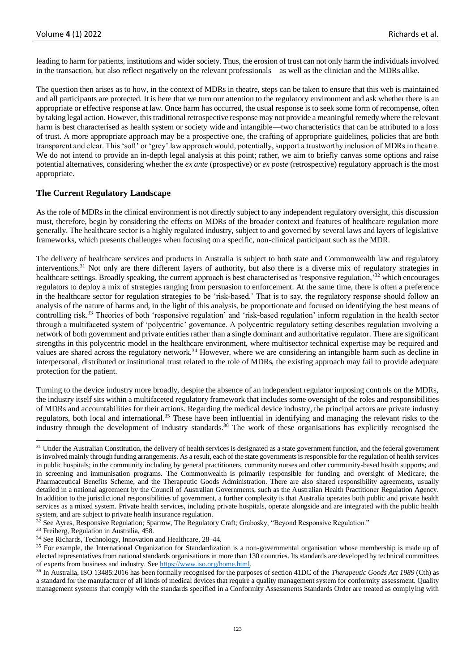leading to harm for patients, institutions and wider society. Thus, the erosion of trust can not only harm the individuals involved in the transaction, but also reflect negatively on the relevant professionals—as well as the clinician and the MDRs alike.

The question then arises as to how, in the context of MDRs in theatre, steps can be taken to ensure that this web is maintained and all participants are protected. It is here that we turn our attention to the regulatory environment and ask whether there is an appropriate or effective response at law. Once harm has occurred, the usual response is to seek some form of recompense, often by taking legal action. However, this traditional retrospective response may not provide a meaningful remedy where the relevant harm is best characterised as health system or society wide and intangible—two characteristics that can be attributed to a loss of trust. A more appropriate approach may be a prospective one, the crafting of appropriate guidelines, policies that are both transparent and clear. This 'soft' or 'grey' law approach would, potentially, support a trustworthy inclusion of MDRs in theatre. We do not intend to provide an in-depth legal analysis at this point; rather, we aim to briefly canvas some options and raise potential alternatives, considering whether the *ex ante* (prospective) or *ex poste* (retrospective) regulatory approach is the most appropriate.

# **The Current Regulatory Landscape**

As the role of MDRs in the clinical environment is not directly subject to any independent regulatory oversight, this discussion must, therefore, begin by considering the effects on MDRs of the broader context and features of healthcare regulation more generally. The healthcare sector is a highly regulated industry, subject to and governed by several laws and layers of legislative frameworks, which presents challenges when focusing on a specific, non-clinical participant such as the MDR.

The delivery of healthcare services and products in Australia is subject to both state and Commonwealth law and regulatory interventions.<sup>31</sup> Not only are there different layers of authority, but also there is a diverse mix of regulatory strategies in healthcare settings. Broadly speaking, the current approach is best characterised as 'responsive regulation,'<sup>32</sup> which encourages regulators to deploy a mix of strategies ranging from persuasion to enforcement. At the same time, there is often a preference in the healthcare sector for regulation strategies to be 'risk-based.' That is to say, the regulatory response should follow an analysis of the nature of harms and, in the light of this analysis, be proportionate and focused on identifying the best means of controlling risk.<sup>33</sup> Theories of both 'responsive regulation' and 'risk-based regulation' inform regulation in the health sector through a multifaceted system of 'polycentric' governance. A polycentric regulatory setting describes regulation involving a network of both government and private entities rather than a single dominant and authoritative regulator. There are significant strengths in this polycentric model in the healthcare environment, where multisector technical expertise may be required and values are shared across the regulatory network.<sup>34</sup> However, where we are considering an intangible harm such as decline in interpersonal, distributed or institutional trust related to the role of MDRs, the existing approach may fail to provide adequate protection for the patient.

Turning to the device industry more broadly, despite the absence of an independent regulator imposing controls on the MDRs, the industry itself sits within a multifaceted regulatory framework that includes some oversight of the roles and responsibilities of MDRs and accountabilities for their actions. Regarding the medical device industry, the principal actors are private industry regulators, both local and international.<sup>35</sup> These have been influential in identifying and managing the relevant risks to the industry through the development of industry standards.<sup>36</sup> The work of these organisations has explicitly recognised the

<sup>33</sup> Freiberg, Regulation in Australia, 458.

<sup>&</sup>lt;sup>31</sup> Under the Australian Constitution, the delivery of health services is designated as a state government function, and the federal government is involved mainly through funding arrangements. As a result, each of the state governments is responsible for the regulation of health services in public hospitals; in the community including by general practitioners, community nurses and other community-based health supports; and in screening and immunisation programs. The Commonwealth is primarily responsible for funding and oversight of Medicare, the Pharmaceutical Benefits Scheme, and the Therapeutic Goods Administration. There are also shared responsibility agreements, usually detailed in a national agreement by the Council of Australian Governments, such as the Australian Health Practitioner Regulation Agency. In addition to the jurisdictional responsibilities of government, a further complexity is that Australia operates both public and private health services as a mixed system. Private health services, including private hospitals, operate alongside and are integrated with the public health system, and are subject to private health insurance regulation.

<sup>&</sup>lt;sup>32</sup> See Ayres, Responsive Regulation; Sparrow, The Regulatory Craft; Grabosky, "Beyond Responsive Regulation."

<sup>34</sup> See Richards, Technology, Innovation and Healthcare, 28–44.

<sup>&</sup>lt;sup>35</sup> For example, the International Organization for Standardization is a non-governmental organisation whose membership is made up of elected representatives from national standards organisations in more than 130 countries. Its standards are developed by technical committees of experts from business and industry. Se[e https://www.iso.org/home.html.](https://www.iso.org/home.html)

<sup>36</sup> In Australia, ISO 13485:2016 has been formally recognised for the purposes of section 41DC of the *Therapeutic Goods Act 1989* (Cth) as a standard for the manufacturer of all kinds of medical devices that require a quality management system for conformity assessment. Quality management systems that comply with the standards specified in a Conformity Assessments Standards Order are treated as complying with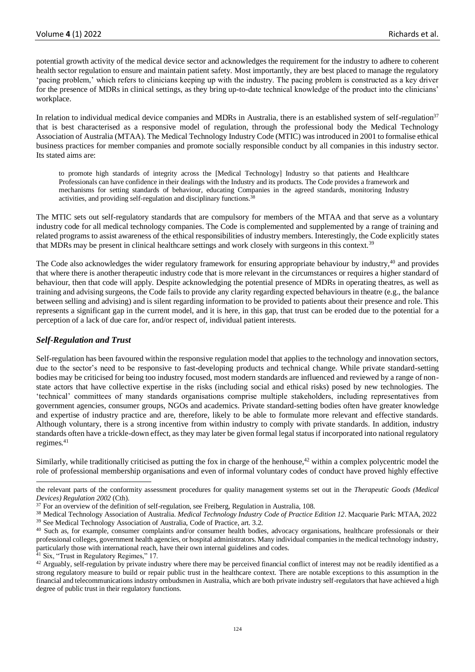potential growth activity of the medical device sector and acknowledges the requirement for the industry to adhere to coherent health sector regulation to ensure and maintain patient safety. Most importantly, they are best placed to manage the regulatory 'pacing problem,' which refers to clinicians keeping up with the industry. The pacing problem is constructed as a key driver for the presence of MDRs in clinical settings, as they bring up-to-date technical knowledge of the product into the clinicians' workplace.

In relation to individual medical device companies and MDRs in Australia, there is an established system of self-regulation<sup>37</sup> that is best characterised as a responsive model of regulation, through the professional body the Medical Technology Association of Australia (MTAA). The Medical Technology Industry Code (MTIC) was introduced in 2001 to formalise ethical business practices for member companies and promote socially responsible conduct by all companies in this industry sector. Its stated aims are:

to promote high standards of integrity across the [Medical Technology] Industry so that patients and Healthcare Professionals can have confidence in their dealings with the Industry and its products. The Code provides a framework and mechanisms for setting standards of behaviour, educating Companies in the agreed standards, monitoring Industry activities, and providing self-regulation and disciplinary functions.<sup>38</sup>

The MTIC sets out self-regulatory standards that are compulsory for members of the MTAA and that serve as a voluntary industry code for all medical technology companies. The Code is complemented and supplemented by a range of training and related programs to assist awareness of the ethical responsibilities of industry members. Interestingly, the Code explicitly states that MDRs may be present in clinical healthcare settings and work closely with surgeons in this context.<sup>39</sup>

The Code also acknowledges the wider regulatory framework for ensuring appropriate behaviour by industry,<sup>40</sup> and provides that where there is another therapeutic industry code that is more relevant in the circumstances or requires a higher standard of behaviour, then that code will apply. Despite acknowledging the potential presence of MDRs in operating theatres, as well as training and advising surgeons, the Code fails to provide any clarity regarding expected behaviours in theatre (e.g., the balance between selling and advising) and is silent regarding information to be provided to patients about their presence and role. This represents a significant gap in the current model, and it is here, in this gap, that trust can be eroded due to the potential for a perception of a lack of due care for, and/or respect of, individual patient interests.

## *Self-Regulation and Trust*

Self-regulation has been favoured within the responsive regulation model that applies to the technology and innovation sectors, due to the sector's need to be responsive to fast-developing products and technical change. While private standard-setting bodies may be criticised for being too industry focused, most modern standards are influenced and reviewed by a range of nonstate actors that have collective expertise in the risks (including social and ethical risks) posed by new technologies. The 'technical' committees of many standards organisations comprise multiple stakeholders, including representatives from government agencies, consumer groups, NGOs and academics. Private standard-setting bodies often have greater knowledge and expertise of industry practice and are, therefore, likely to be able to formulate more relevant and effective standards. Although voluntary, there is a strong incentive from within industry to comply with private standards. In addition, industry standards often have a trickle-down effect, as they may later be given formal legal status if incorporated into national regulatory regimes.<sup>41</sup>

Similarly, while traditionally criticised as putting the fox in charge of the henhouse, $42$  within a complex polycentric model the role of professional membership organisations and even of informal voluntary codes of conduct have proved highly effective

<sup>41</sup> Six, "Trust in Regulatory Regimes," 17.

the relevant parts of the conformity assessment procedures for quality management systems set out in the *Therapeutic Goods (Medical Devices) Regulation 2002* (Cth).

 $37$  For an overview of the definition of self-regulation, see Freiberg, Regulation in Australia, 108.

<sup>38</sup> Medical Technology Association of Australia. *Medical Technology Industry Code of Practice Edition 12*. Macquarie Park: MTAA, 2022

<sup>&</sup>lt;sup>39</sup> See Medical Technology Association of Australia, Code of Practice, art. 3.2.

<sup>&</sup>lt;sup>40</sup> Such as, for example, consumer complaints and/or consumer health bodies, advocacy organisations, healthcare professionals or their professional colleges, government health agencies, or hospital administrators. Many individual companies in the medical technology industry, particularly those with international reach, have their own internal guidelines and codes.

 $42$  Arguably, self-regulation by private industry where there may be perceived financial conflict of interest may not be readily identified as a strong regulatory measure to build or repair public trust in the healthcare context. There are notable exceptions to this assumption in the financial and telecommunications industry ombudsmen in Australia, which are both private industry self-regulators that have achieved a high degree of public trust in their regulatory functions.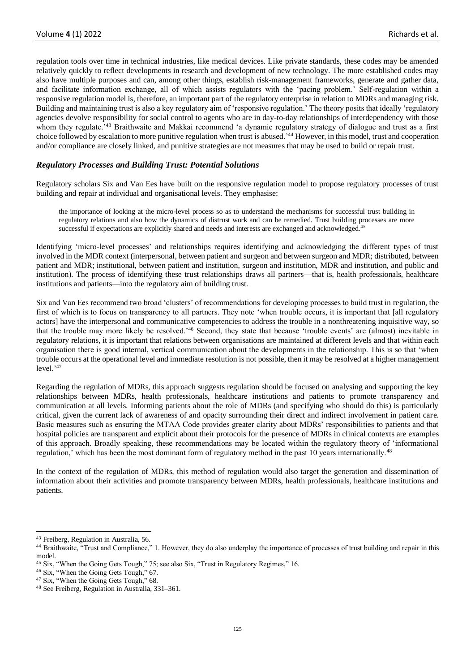regulation tools over time in technical industries, like medical devices. Like private standards, these codes may be amended relatively quickly to reflect developments in research and development of new technology. The more established codes may also have multiple purposes and can, among other things, establish risk-management frameworks, generate and gather data, and facilitate information exchange, all of which assists regulators with the 'pacing problem.' Self-regulation within a responsive regulation model is, therefore, an important part of the regulatory enterprise in relation to MDRs and managing risk. Building and maintaining trust is also a key regulatory aim of 'responsive regulation.' The theory posits that ideally 'regulatory agencies devolve responsibility for social control to agents who are in day-to-day relationships of interdependency with those whom they regulate.<sup>343</sup> Braithwaite and Makkai recommend 'a dynamic regulatory strategy of dialogue and trust as a first choice followed by escalation to more punitive regulation when trust is abused.'<sup>44</sup> However, in this model, trust and cooperation and/or compliance are closely linked, and punitive strategies are not measures that may be used to build or repair trust.

## *Regulatory Processes and Building Trust: Potential Solutions*

Regulatory scholars Six and Van Ees have built on the responsive regulation model to propose regulatory processes of trust building and repair at individual and organisational levels. They emphasise:

the importance of looking at the micro-level process so as to understand the mechanisms for successful trust building in regulatory relations and also how the dynamics of distrust work and can be remedied. Trust building processes are more successful if expectations are explicitly shared and needs and interests are exchanged and acknowledged.<sup>4</sup>

Identifying 'micro-level processes' and relationships requires identifying and acknowledging the different types of trust involved in the MDR context (interpersonal, between patient and surgeon and between surgeon and MDR; distributed, between patient and MDR; institutional, between patient and institution, surgeon and institution, MDR and institution, and public and institution). The process of identifying these trust relationships draws all partners—that is, health professionals, healthcare institutions and patients—into the regulatory aim of building trust.

Six and Van Ees recommend two broad 'clusters' of recommendations for developing processes to build trust in regulation, the first of which is to focus on transparency to all partners. They note 'when trouble occurs, it is important that [all regulatory actors] have the interpersonal and communicative competencies to address the trouble in a nonthreatening inquisitive way, so that the trouble may more likely be resolved.'<sup>46</sup> Second, they state that because 'trouble events' are (almost) inevitable in regulatory relations, it is important that relations between organisations are maintained at different levels and that within each organisation there is good internal, vertical communication about the developments in the relationship. This is so that 'when trouble occurs at the operational level and immediate resolution is not possible, then it may be resolved at a higher management  $level.^{47}$ 

Regarding the regulation of MDRs, this approach suggests regulation should be focused on analysing and supporting the key relationships between MDRs, health professionals, healthcare institutions and patients to promote transparency and communication at all levels. Informing patients about the role of MDRs (and specifying who should do this) is particularly critical, given the current lack of awareness of and opacity surrounding their direct and indirect involvement in patient care. Basic measures such as ensuring the MTAA Code provides greater clarity about MDRs' responsibilities to patients and that hospital policies are transparent and explicit about their protocols for the presence of MDRs in clinical contexts are examples of this approach. Broadly speaking, these recommendations may be located within the regulatory theory of 'informational regulation,' which has been the most dominant form of regulatory method in the past 10 years internationally.<sup>48</sup>

In the context of the regulation of MDRs, this method of regulation would also target the generation and dissemination of information about their activities and promote transparency between MDRs, health professionals, healthcare institutions and patients.

<sup>43</sup> Freiberg, Regulation in Australia, 56.

<sup>44</sup> Braithwaite, "Trust and Compliance," 1. However, they do also underplay the importance of processes of trust building and repair in this model.

<sup>45</sup> Six, "When the Going Gets Tough," 75; see also Six, "Trust in Regulatory Regimes," 16.

<sup>46</sup> Six, "When the Going Gets Tough," 67.

<sup>47</sup> Six, "When the Going Gets Tough," 68.

<sup>48</sup> See Freiberg, Regulation in Australia, 331–361.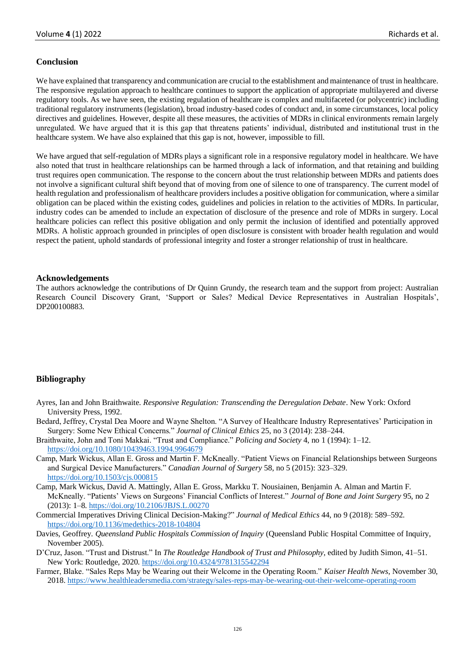## **Conclusion**

We have explained that transparency and communication are crucial to the establishment and maintenance of trust in healthcare. The responsive regulation approach to healthcare continues to support the application of appropriate multilayered and diverse regulatory tools. As we have seen, the existing regulation of healthcare is complex and multifaceted (or polycentric) including traditional regulatory instruments (legislation), broad industry-based codes of conduct and, in some circumstances, local policy directives and guidelines. However, despite all these measures, the activities of MDRs in clinical environments remain largely unregulated. We have argued that it is this gap that threatens patients' individual, distributed and institutional trust in the healthcare system. We have also explained that this gap is not, however, impossible to fill.

We have argued that self-regulation of MDRs plays a significant role in a responsive regulatory model in healthcare. We have also noted that trust in healthcare relationships can be harmed through a lack of information, and that retaining and building trust requires open communication. The response to the concern about the trust relationship between MDRs and patients does not involve a significant cultural shift beyond that of moving from one of silence to one of transparency. The current model of health regulation and professionalism of healthcare providers includes a positive obligation for communication, where a similar obligation can be placed within the existing codes, guidelines and policies in relation to the activities of MDRs. In particular, industry codes can be amended to include an expectation of disclosure of the presence and role of MDRs in surgery. Local healthcare policies can reflect this positive obligation and only permit the inclusion of identified and potentially approved MDRs. A holistic approach grounded in principles of open disclosure is consistent with broader health regulation and would respect the patient, uphold standards of professional integrity and foster a stronger relationship of trust in healthcare.

#### **Acknowledgements**

The authors acknowledge the contributions of Dr Quinn Grundy, the research team and the support from project: Australian Research Council Discovery Grant, 'Support or Sales? Medical Device Representatives in Australian Hospitals', DP200100883.

## **Bibliography**

- Ayres, Ian and John Braithwaite. *Responsive Regulation: Transcending the Deregulation Debate*. New York: Oxford University Press, 1992.
- Bedard, Jeffrey, Crystal Dea Moore and Wayne Shelton. "A Survey of Healthcare Industry Representatives' Participation in Surgery: Some New Ethical Concerns." *Journal of Clinical Ethics* 25, no 3 (2014): 238–244.
- Braithwaite, John and Toni Makkai. "Trust and Compliance." *Policing and Society* 4, no 1 (1994): 1–12. <https://doi.org/10.1080/10439463.1994.9964679>
- Camp, Mark Wickus, Allan E. Gross and Martin F. McKneally. "Patient Views on Financial Relationships between Surgeons and Surgical Device Manufacturers." *Canadian Journal of Surgery* 58, no 5 (2015): 323–329. <https://doi.org/10.1503/cjs.000815>
- Camp, Mark Wickus, David A. Mattingly, Allan E. Gross, Markku T. Nousiainen, Benjamin A. Alman and Martin F. McKneally. "Patients' Views on Surgeons' Financial Conflicts of Interest." *Journal of Bone and Joint Surgery* 95, no 2 (2013): 1–8[. https://doi.org/10.2106/JBJS.L.00270](https://doi.org/10.2106/JBJS.L.00270)
- Commercial Imperatives Driving Clinical Decision-Making?" *Journal of Medical Ethics* 44, no 9 (2018): 589–592. <https://doi.org/10.1136/medethics-2018-104804>
- Davies, Geoffrey. *Queensland Public Hospitals Commission of Inquiry* (Queensland Public Hospital Committee of Inquiry, November 2005).
- D'Cruz, Jason. "Trust and Distrust." In *The Routledge Handbook of Trust and Philosophy*, edited by Judith Simon, 41–51. New York: Routledge, 2020.<https://doi.org/10.4324/9781315542294>
- Farmer, Blake. "Sales Reps May be Wearing out their Welcome in the Operating Room." *Kaiser Health News*, November 30, 2018[. https://www.healthleadersmedia.com/strategy/sales-reps-may-be-wearing-out-their-welcome-operating-room](https://www.healthleadersmedia.com/strategy/sales-reps-may-be-wearing-out-their-welcome-operating-room)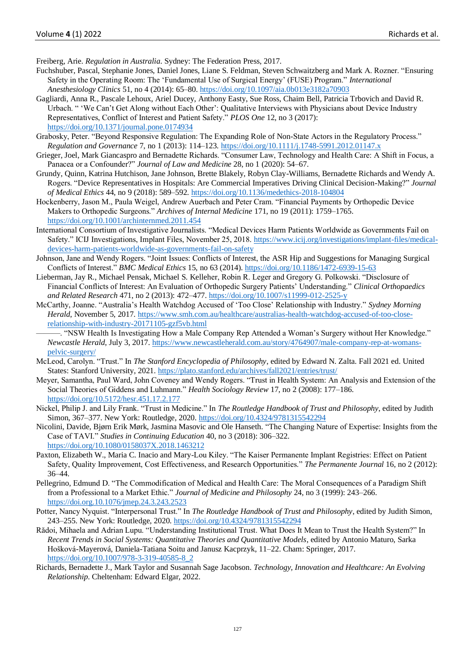Freiberg, Arie. *Regulation in Australia*. Sydney: The Federation Press, 2017.

- Fuchshuber, Pascal, Stephanie Jones, Daniel Jones, Liane S. Feldman, Steven Schwaitzberg and Mark A. Rozner. "Ensuring Safety in the Operating Room: The 'Fundamental Use of Surgical Energy' (FUSE) Program." *International Anesthesiology Clinics* 51, no 4 (2014): 65–80. <https://doi.org/10.1097/aia.0b013e3182a70903>
- Gagliardi, Anna R., Pascale Lehoux, Ariel Ducey, Anthony Easty, Sue Ross, Chaim Bell, Patricia Trbovich and David R. Urbach. " 'We Can't Get Along without Each Other': Qualitative Interviews with Physicians about Device Industry Representatives, Conflict of Interest and Patient Safety." *PLOS One* 12, no 3 (2017): <https://doi.org/10.1371/journal.pone.0174934>
- Grabosky, Peter. "Beyond Responsive Regulation: The Expanding Role of Non-State Actors in the Regulatory Process." *Regulation and Governance* 7, no 1 (2013): 114–123[. https://doi.org/10.1111/j.1748-5991.2012.01147.x](https://doi.org/10.1111/j.1748-5991.2012.01147.x)
- Grieger, Joel, Mark Giancaspro and Bernadette Richards. "Consumer Law, Technology and Health Care: A Shift in Focus, a Panacea or a Confounder?" *Journal of Law and Medicine* 28, no 1 (2020): 54–67.
- Grundy, Quinn, Katrina Hutchison, Jane Johnson, Brette Blakely, Robyn Clay-Williams, Bernadette Richards and Wendy A. Rogers. "Device Representatives in Hospitals: Are Commercial Imperatives Driving Clinical Decision-Making?" *Journal of Medical Ethics* 44, no 9 (2018): 589–592[. https://doi.org/10.1136/medethics-2018-104804](https://doi.org/10.1136/medethics-2018-104804)
- Hockenberry, Jason M., Paula Weigel, Andrew Auerbach and Peter Cram. "Financial Payments by Orthopedic Device Makers to Orthopedic Surgeons." *Archives of Internal Medicine* 171, no 19 (2011): 1759–1765. <https://doi.org/10.1001/archinternmed.2011.454>
- International Consortium of Investigative Journalists. "Medical Devices Harm Patients Worldwide as Governments Fail on Safety." ICIJ Investigations, Implant Files, November 25, 2018. [https://www.icij.org/investigations/implant-files/medical](https://www.icij.org/investigations/implant-files/medical-devices-harm-patients-worldwide-as-governments-fail-on-safety)[devices-harm-patients-worldwide-as-governments-fail-on-safety](https://www.icij.org/investigations/implant-files/medical-devices-harm-patients-worldwide-as-governments-fail-on-safety)
- Johnson, Jane and Wendy Rogers. "Joint Issues: Conflicts of Interest, the ASR Hip and Suggestions for Managing Surgical Conflicts of Interest." *BMC Medical Ethics* 15, no 63 (2014).<https://doi.org/10.1186/1472-6939-15-63>
- Lieberman, Jay R., Michael Pensak, Michael S. Kelleher, Robin R. Leger and Gregory G. Polkowski. "Disclosure of Financial Conflicts of Interest: An Evaluation of Orthopedic Surgery Patients' Understanding." *Clinical Orthopaedics and Related Research* 471, no 2 (2013): 472–477[. https://doi.org/10.1007/s11999-012-2525-y](https://doi.org/10.1007/s11999-012-2525-y)
- McCarthy, Joanne. "Australia's Health Watchdog Accused of 'Too Close' Relationship with Industry." *Sydney Morning Herald*, November 5, 2017. [https://www.smh.com.au/healthcare/australias-health-watchdog-accused-of-too-close](https://www.smh.com.au/healthcare/australias-health-watchdog-accused-of-too-close-relationship-with-industry-20171105-gzf5vb.html)[relationship-with-industry-20171105-gzf5vb.html](https://www.smh.com.au/healthcare/australias-health-watchdog-accused-of-too-close-relationship-with-industry-20171105-gzf5vb.html)
	- ———. "NSW Health Is Investigating How a Male Company Rep Attended a Woman's Surgery without Her Knowledge." *Newcastle Herald*, July 3, 2017[. https://www.newcastleherald.com.au/story/4764907/male-company-rep-at-womans](https://www.newcastleherald.com.au/story/4764907/male-company-rep-at-womans-pelvic-surgery/)[pelvic-surgery/](https://www.newcastleherald.com.au/story/4764907/male-company-rep-at-womans-pelvic-surgery/)
- McLeod, Carolyn. "Trust." In *The Stanford Encyclopedia of Philosophy*, edited by Edward N. Zalta. Fall 2021 ed. United States: Stanford University, 2021.<https://plato.stanford.edu/archives/fall2021/entries/trust/>
- Meyer, Samantha, Paul Ward, John Coveney and Wendy Rogers. "Trust in Health System: An Analysis and Extension of the Social Theories of Giddens and Luhmann." *Health Sociology Review* 17, no 2 (2008): 177–186. <https://doi.org/10.5172/hesr.451.17.2.177>
- Nickel, Philip J. and Lily Frank. "Trust in Medicine." In *The Routledge Handbook of Trust and Philosophy*, edited by Judith Simon, 367–377. New York: Routledge, 2020.<https://doi.org/10.4324/9781315542294>
- Nicolini, Davide, Bjørn Erik Mørk, Jasmina Masovic and Ole Hanseth. "The Changing Nature of Expertise: Insights from the Case of TAVI." *Studies in Continuing Education* 40, no 3 (2018): 306–322. <https://doi.org/10.1080/0158037X.2018.1463212>
- Paxton, Elizabeth W., Maria C. Inacio and Mary-Lou Kiley. "The Kaiser Permanente Implant Registries: Effect on Patient Safety, Quality Improvement, Cost Effectiveness, and Research Opportunities." *The Permanente Journal* 16, no 2 (2012): 36–44.
- Pellegrino, Edmund D. "The Commodification of Medical and Health Care: The Moral Consequences of a Paradigm Shift from a Professional to a Market Ethic." *Journal of Medicine and Philosophy* 24, no 3 (1999): 243–266. <https://doi.org.10.1076/jmep.24.3.243.2523>
- Potter, Nancy Nyquist. "Interpersonal Trust." In *The Routledge Handbook of Trust and Philosophy*, edited by Judith Simon, 243–255. New York: Routledge, 2020.<https://doi.org/10.4324/9781315542294>
- Rădoi, Mihaela and Adrian Lupu. "Understanding Institutional Trust. What Does It Mean to Trust the Health System?" In *Recent Trends in Social Systems: Quantitative Theories and Quantitative Models*, edited by Antonio Maturo, Sarka Hošková-Mayerová, Daniela-Tatiana Soitu and Janusz Kacprzyk, 11–22. Cham: Springer, 2017. [https://doi.org/10.1007/978-3-319-40585-8\\_2](https://doi.org/10.1007/978-3-319-40585-8_2)
- Richards, Bernadette J., Mark Taylor and Susannah Sage Jacobson. *Technology, Innovation and Healthcare: An Evolving Relationship*. Cheltenham: Edward Elgar, 2022.